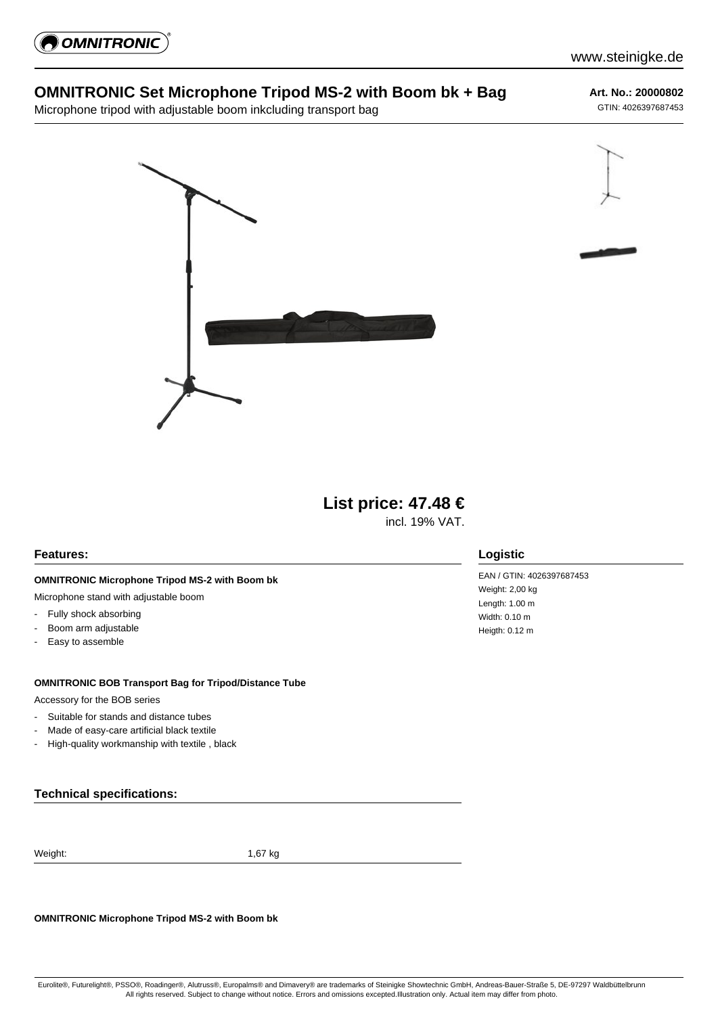

# **OMNITRONIC Set Microphone Tripod MS-2 with Boom bk + Bag**

Microphone tripod with adjustable boom inkcluding transport bag

**Art. No.: 20000802**

GTIN: 4026397687453





incl. 19% VAT.

## **Features:**

### **OMNITRONIC Microphone Tripod MS-2 with Boom bk**

Microphone stand with adjustable boom

- Fully shock absorbing
- Boom arm adjustable
- Easy to assemble

#### **OMNITRONIC BOB Transport Bag for Tripod/Distance Tube**

Accessory for the BOB series

- Suitable for stands and distance tubes
- Made of easy-care artificial black textile
- High-quality workmanship with textile , black

## **Technical specifications:**

Weight: 1,67 kg

**OMNITRONIC Microphone Tripod MS-2 with Boom bk**

## **Logistic**

EAN / GTIN: 4026397687453 Weight: 2,00 kg Length: 1.00 m Width: 0.10 m Heigth: 0.12 m